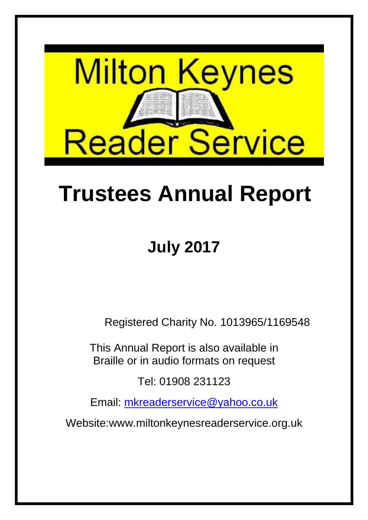

# **Trustees Annual Report**

## **July 2017**

Registered Charity No. 1013965/1169548

This Annual Report is also available in Braille or in audio formats on request

Tel: 01908 231123

Email: mkreaderservice@yahoo.co.uk

Website:www.miltonkeynesreaderservice.org.uk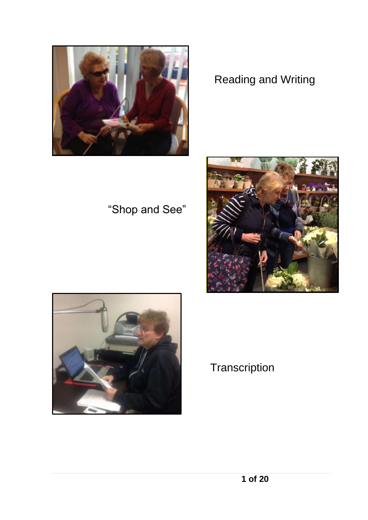#### Reading and Writing





"Shop and See"



#### **Transcription**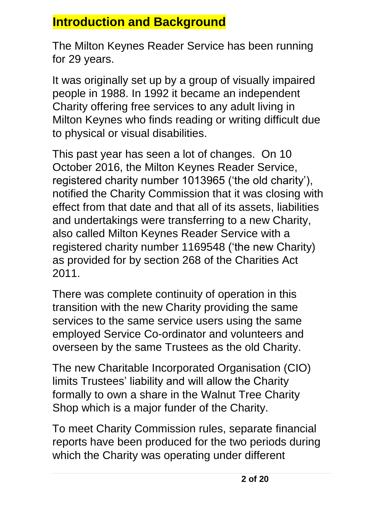#### **Introduction and Background**

The Milton Keynes Reader Service has been running for 29 years.

It was originally set up by a group of visually impaired people in 1988. In 1992 it became an independent Charity offering free services to any adult living in Milton Keynes who finds reading or writing difficult due to physical or visual disabilities.

This past year has seen a lot of changes. On 10 October 2016, the Milton Keynes Reader Service, registered charity number 1013965 ('the old charity'), notified the Charity Commission that it was closing with effect from that date and that all of its assets, liabilities and undertakings were transferring to a new Charity, also called Milton Keynes Reader Service with a registered charity number 1169548 ('the new Charity) as provided for by section 268 of the Charities Act 2011.

There was complete continuity of operation in this transition with the new Charity providing the same services to the same service users using the same employed Service Co-ordinator and volunteers and overseen by the same Trustees as the old Charity.

The new Charitable Incorporated Organisation (CIO) limits Trustees' liability and will allow the Charity formally to own a share in the Walnut Tree Charity Shop which is a major funder of the Charity.

To meet Charity Commission rules, separate financial reports have been produced for the two periods during which the Charity was operating under different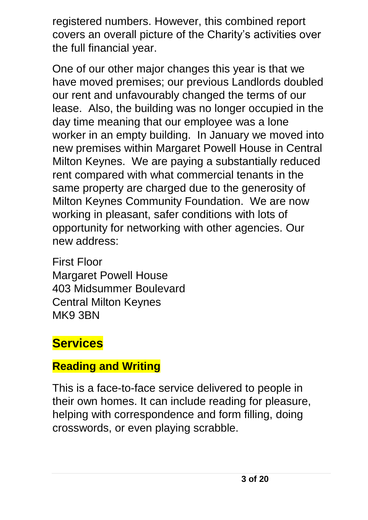registered numbers. However, this combined report covers an overall picture of the Charity's activities over the full financial year.

One of our other major changes this year is that we have moved premises; our previous Landlords doubled our rent and unfavourably changed the terms of our lease. Also, the building was no longer occupied in the day time meaning that our employee was a lone worker in an empty building. In January we moved into new premises within Margaret Powell House in Central Milton Keynes. We are paying a substantially reduced rent compared with what commercial tenants in the same property are charged due to the generosity of Milton Keynes Community Foundation. We are now working in pleasant, safer conditions with lots of opportunity for networking with other agencies. Our new address:

First Floor Margaret Powell House 403 Midsummer Boulevard Central Milton Keynes MK9 3BN

## **Services**

#### **Reading and Writing**

This is a face-to-face service delivered to people in their own homes. It can include reading for pleasure, helping with correspondence and form filling, doing crosswords, or even playing scrabble.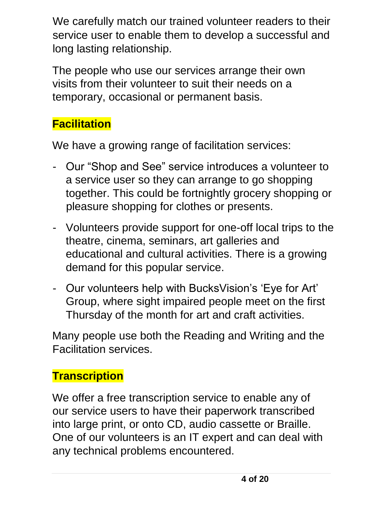We carefully match our trained volunteer readers to their service user to enable them to develop a successful and long lasting relationship.

The people who use our services arrange their own visits from their volunteer to suit their needs on a temporary, occasional or permanent basis.

#### **Facilitation**

We have a growing range of facilitation services:

- Our "Shop and See" service introduces a volunteer to a service user so they can arrange to go shopping together. This could be fortnightly grocery shopping or pleasure shopping for clothes or presents.
- Volunteers provide support for one-off local trips to the theatre, cinema, seminars, art galleries and educational and cultural activities. There is a growing demand for this popular service.
- Our volunteers help with BucksVision's 'Eye for Art' Group, where sight impaired people meet on the first Thursday of the month for art and craft activities.

Many people use both the Reading and Writing and the Facilitation services.

#### **Transcription**

We offer a free transcription service to enable any of our service users to have their paperwork transcribed into large print, or onto CD, audio cassette or Braille. One of our volunteers is an IT expert and can deal with any technical problems encountered.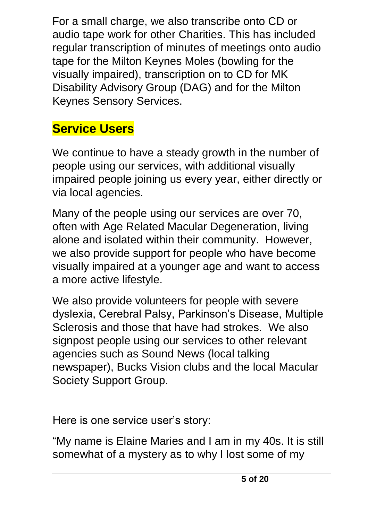For a small charge, we also transcribe onto CD or audio tape work for other Charities. This has included regular transcription of minutes of meetings onto audio tape for the Milton Keynes Moles (bowling for the visually impaired), transcription on to CD for MK Disability Advisory Group (DAG) and for the Milton Keynes Sensory Services.

### **Service Users**

We continue to have a steady growth in the number of people using our services, with additional visually impaired people joining us every year, either directly or via local agencies.

Many of the people using our services are over 70, often with Age Related Macular Degeneration, living alone and isolated within their community. However, we also provide support for people who have become visually impaired at a younger age and want to access a more active lifestyle.

We also provide volunteers for people with severe dyslexia, Cerebral Palsy, Parkinson's Disease, Multiple Sclerosis and those that have had strokes. We also signpost people using our services to other relevant agencies such as Sound News (local talking newspaper), Bucks Vision clubs and the local Macular Society Support Group.

Here is one service user's story:

"My name is Elaine Maries and I am in my 40s. It is still somewhat of a mystery as to why I lost some of my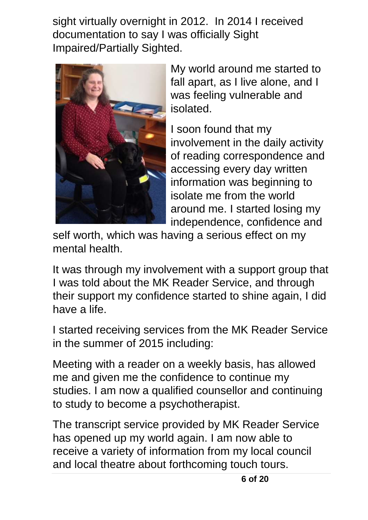sight virtually overnight in 2012. In 2014 I received documentation to say I was officially Sight Impaired/Partially Sighted.



My world around me started to fall apart, as I live alone, and I was feeling vulnerable and isolated.

I soon found that my involvement in the daily activity of reading correspondence and accessing every day written information was beginning to isolate me from the world around me. I started losing my independence, confidence and

self worth, which was having a serious effect on my mental health.

It was through my involvement with a support group that I was told about the MK Reader Service, and through their support my confidence started to shine again, I did have a life.

I started receiving services from the MK Reader Service in the summer of 2015 including:

Meeting with a reader on a weekly basis, has allowed me and given me the confidence to continue my studies. I am now a qualified counsellor and continuing to study to become a psychotherapist.

The transcript service provided by MK Reader Service has opened up my world again. I am now able to receive a variety of information from my local council and local theatre about forthcoming touch tours.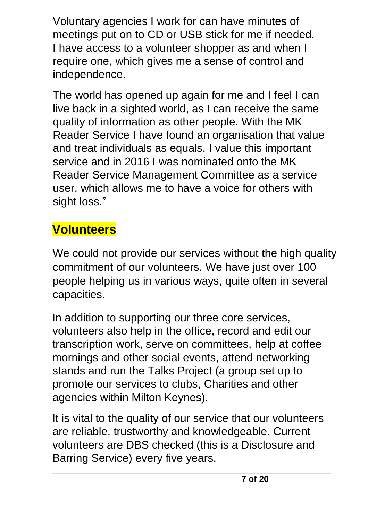Voluntary agencies I work for can have minutes of meetings put on to CD or USB stick for me if needed. I have access to a volunteer shopper as and when I require one, which gives me a sense of control and independence.

The world has opened up again for me and I feel I can live back in a sighted world, as I can receive the same quality of information as other people. With the MK Reader Service I have found an organisation that value and treat individuals as equals. I value this important service and in 2016 I was nominated onto the MK Reader Service Management Committee as a service user, which allows me to have a voice for others with sight loss."

## **Volunteers**

We could not provide our services without the high quality commitment of our volunteers. We have just over 100 people helping us in various ways, quite often in several capacities.

In addition to supporting our three core services, volunteers also help in the office, record and edit our transcription work, serve on committees, help at coffee mornings and other social events, attend networking stands and run the Talks Project (a group set up to promote our services to clubs, Charities and other agencies within Milton Keynes).

It is vital to the quality of our service that our volunteers are reliable, trustworthy and knowledgeable. Current volunteers are DBS checked (this is a Disclosure and Barring Service) every five years.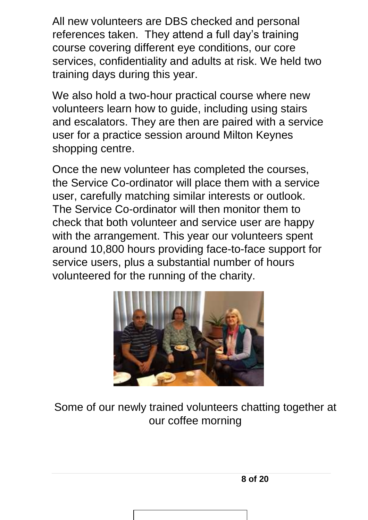All new volunteers are DBS checked and personal references taken. They attend a full day's training course covering different eye conditions, our core services, confidentiality and adults at risk. We held two training days during this year.

We also hold a two-hour practical course where new volunteers learn how to guide, including using stairs and escalators. They are then are paired with a service user for a practice session around Milton Keynes shopping centre.

Once the new volunteer has completed the courses, the Service Co-ordinator will place them with a service user, carefully matching similar interests or outlook. The Service Co-ordinator will then monitor them to check that both volunteer and service user are happy with the arrangement. This year our volunteers spent around 10,800 hours providing face-to-face support for service users, plus a substantial number of hours volunteered for the running of the charity.



Some of our newly trained volunteers chatting together at our coffee morning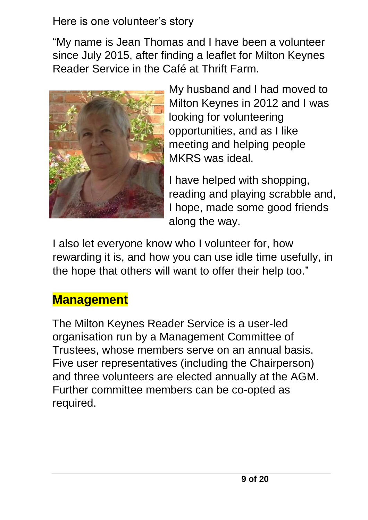#### Here is one volunteer's story

"My name is Jean Thomas and I have been a volunteer since July 2015, after finding a leaflet for Milton Keynes Reader Service in the Café at Thrift Farm.



My husband and I had moved to Milton Keynes in 2012 and I was looking for volunteering opportunities, and as I like meeting and helping people MKRS was ideal.

I have helped with shopping, reading and playing scrabble and, I hope, made some good friends along the way.

I also let everyone know who I volunteer for, how rewarding it is, and how you can use idle time usefully, in the hope that others will want to offer their help too."

#### **Management**

The Milton Keynes Reader Service is a user-led organisation run by a Management Committee of Trustees, whose members serve on an annual basis. Five user representatives (including the Chairperson) and three volunteers are elected annually at the AGM. Further committee members can be co-opted as required.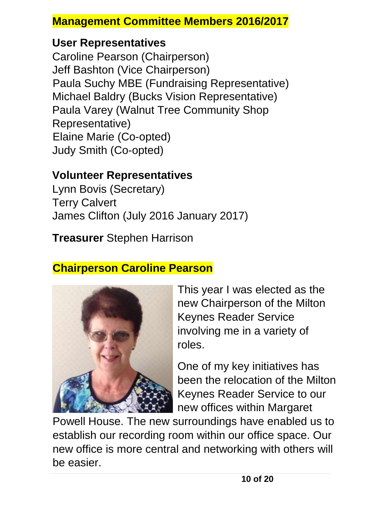#### **Management Committee Members 2016/2017**

#### **User Representatives**

Caroline Pearson (Chairperson) Jeff Bashton (Vice Chairperson) Paula Suchy MBE (Fundraising Representative) Michael Baldry (Bucks Vision Representative) Paula Varey (Walnut Tree Community Shop Representative) Elaine Marie (Co-opted) Judy Smith (Co-opted)

#### **Volunteer Representatives**

Lynn Bovis (Secretary) Terry Calvert James Clifton (July 2016 January 2017)

**Treasurer** Stephen Harrison

#### **Chairperson Caroline Pearson**



This year I was elected as the new Chairperson of the Milton Keynes Reader Service involving me in a variety of roles.

One of my key initiatives has been the relocation of the Milton Keynes Reader Service to our new offices within Margaret

Powell House. The new surroundings have enabled us to establish our recording room within our office space. Our new office is more central and networking with others will be easier.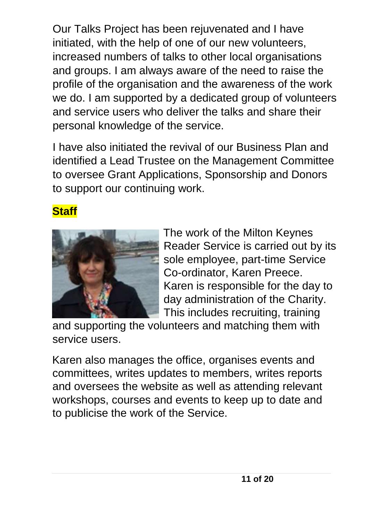Our Talks Project has been rejuvenated and I have initiated, with the help of one of our new volunteers, increased numbers of talks to other local organisations and groups. I am always aware of the need to raise the profile of the organisation and the awareness of the work we do. I am supported by a dedicated group of volunteers and service users who deliver the talks and share their personal knowledge of the service.

I have also initiated the revival of our Business Plan and identified a Lead Trustee on the Management Committee to oversee Grant Applications, Sponsorship and Donors to support our continuing work.

#### **Staff**



The work of the Milton Keynes Reader Service is carried out by its sole employee, part-time Service Co-ordinator, Karen Preece. Karen is responsible for the day to day administration of the Charity. This includes recruiting, training

and supporting the volunteers and matching them with service users.

Karen also manages the office, organises events and committees, writes updates to members, writes reports and oversees the website as well as attending relevant workshops, courses and events to keep up to date and to publicise the work of the Service.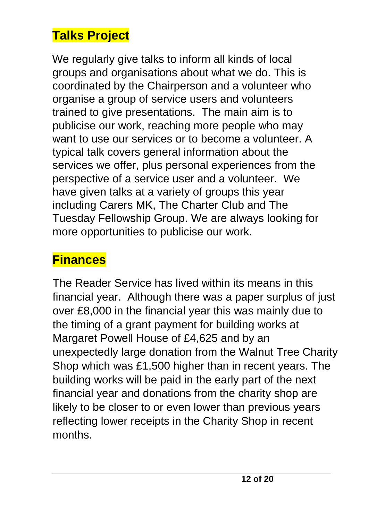#### **Talks Project**

We regularly give talks to inform all kinds of local groups and organisations about what we do. This is coordinated by the Chairperson and a volunteer who organise a group of service users and volunteers trained to give presentations. The main aim is to publicise our work, reaching more people who may want to use our services or to become a volunteer. A typical talk covers general information about the services we offer, plus personal experiences from the perspective of a service user and a volunteer. We have given talks at a variety of groups this year including Carers MK, The Charter Club and The Tuesday Fellowship Group. We are always looking for more opportunities to publicise our work.

#### **Finances**

The Reader Service has lived within its means in this financial year. Although there was a paper surplus of just over £8,000 in the financial year this was mainly due to the timing of a grant payment for building works at Margaret Powell House of £4,625 and by an unexpectedly large donation from the Walnut Tree Charity Shop which was £1,500 higher than in recent years. The building works will be paid in the early part of the next financial year and donations from the charity shop are likely to be closer to or even lower than previous years reflecting lower receipts in the Charity Shop in recent months.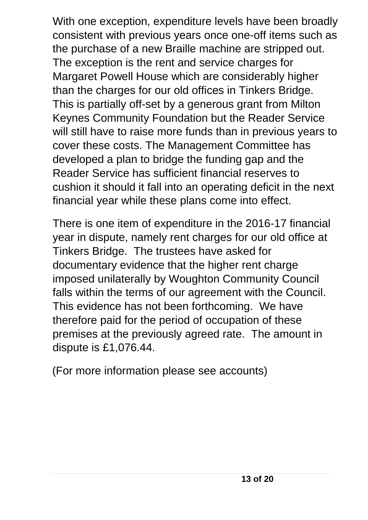With one exception, expenditure levels have been broadly consistent with previous years once one-off items such as the purchase of a new Braille machine are stripped out. The exception is the rent and service charges for Margaret Powell House which are considerably higher than the charges for our old offices in Tinkers Bridge. This is partially off-set by a generous grant from Milton Keynes Community Foundation but the Reader Service will still have to raise more funds than in previous years to cover these costs. The Management Committee has developed a plan to bridge the funding gap and the Reader Service has sufficient financial reserves to cushion it should it fall into an operating deficit in the next financial year while these plans come into effect.

There is one item of expenditure in the 2016-17 financial year in dispute, namely rent charges for our old office at Tinkers Bridge. The trustees have asked for documentary evidence that the higher rent charge imposed unilaterally by Woughton Community Council falls within the terms of our agreement with the Council. This evidence has not been forthcoming. We have therefore paid for the period of occupation of these premises at the previously agreed rate. The amount in dispute is £1,076.44.

(For more information please see accounts)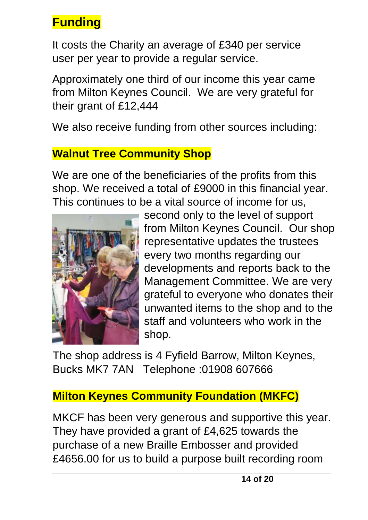## **Funding**

It costs the Charity an average of £340 per service user per year to provide a regular service.

Approximately one third of our income this year came from Milton Keynes Council. We are very grateful for their grant of £12,444

We also receive funding from other sources including:

#### **Walnut Tree Community Shop**

We are one of the beneficiaries of the profits from this shop. We received a total of £9000 in this financial year. This continues to be a vital source of income for us,



second only to the level of support from Milton Keynes Council. Our shop representative updates the trustees every two months regarding our developments and reports back to the Management Committee. We are very grateful to everyone who donates their unwanted items to the shop and to the staff and volunteers who work in the shop.

The shop address is 4 Fyfield Barrow, Milton Keynes, Bucks MK7 7AN Telephone :01908 607666

#### **Milton Keynes Community Foundation (MKFC)**

MKCF has been very generous and supportive this year. They have provided a grant of £4,625 towards the purchase of a new Braille Embosser and provided £4656.00 for us to build a purpose built recording room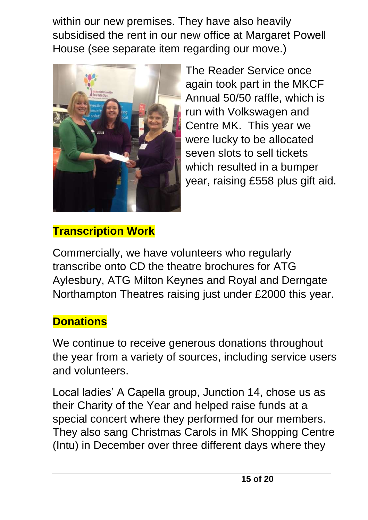within our new premises. They have also heavily subsidised the rent in our new office at Margaret Powell House (see separate item regarding our move.)



The Reader Service once again took part in the MKCF Annual 50/50 raffle, which is run with Volkswagen and Centre MK. This year we were lucky to be allocated seven slots to sell tickets which resulted in a bumper year, raising £558 plus gift aid.

#### **Transcription Work**

Commercially, we have volunteers who regularly transcribe onto CD the theatre brochures for ATG Aylesbury, ATG Milton Keynes and Royal and Derngate Northampton Theatres raising just under £2000 this year.

#### **Donations**

We continue to receive generous donations throughout the year from a variety of sources, including service users and volunteers.

Local ladies' A Capella group, Junction 14, chose us as their Charity of the Year and helped raise funds at a special concert where they performed for our members. They also sang Christmas Carols in MK Shopping Centre (Intu) in December over three different days where they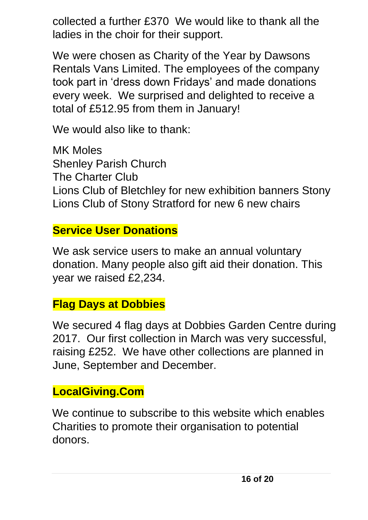collected a further £370 We would like to thank all the ladies in the choir for their support.

We were chosen as Charity of the Year by Dawsons Rentals Vans Limited. The employees of the company took part in 'dress down Fridays' and made donations every week. We surprised and delighted to receive a total of £512.95 from them in January!

We would also like to thank:

MK Moles Shenley Parish Church The Charter Club Lions Club of Bletchley for new exhibition banners Stony Lions Club of Stony Stratford for new 6 new chairs

#### **Service User Donations**

We ask service users to make an annual voluntary donation. Many people also gift aid their donation. This year we raised £2,234.

#### **Flag Days at Dobbies**

We secured 4 flag days at Dobbies Garden Centre during 2017. Our first collection in March was very successful, raising £252. We have other collections are planned in June, September and December.

#### **LocalGiving.Com**

We continue to subscribe to this website which enables Charities to promote their organisation to potential donors.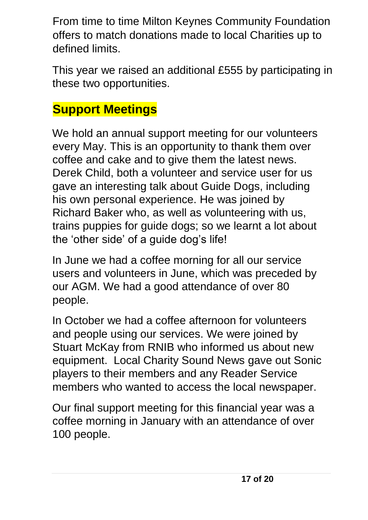From time to time Milton Keynes Community Foundation offers to match donations made to local Charities up to defined limits.

This year we raised an additional £555 by participating in these two opportunities.

#### **Support Meetings**

We hold an annual support meeting for our volunteers every May. This is an opportunity to thank them over coffee and cake and to give them the latest news. Derek Child, both a volunteer and service user for us gave an interesting talk about Guide Dogs, including his own personal experience. He was joined by Richard Baker who, as well as volunteering with us, trains puppies for guide dogs; so we learnt a lot about the 'other side' of a guide dog's life!

In June we had a coffee morning for all our service users and volunteers in June, which was preceded by our AGM. We had a good attendance of over 80 people.

In October we had a coffee afternoon for volunteers and people using our services. We were joined by Stuart McKay from RNIB who informed us about new equipment. Local Charity Sound News gave out Sonic players to their members and any Reader Service members who wanted to access the local newspaper.

Our final support meeting for this financial year was a coffee morning in January with an attendance of over 100 people.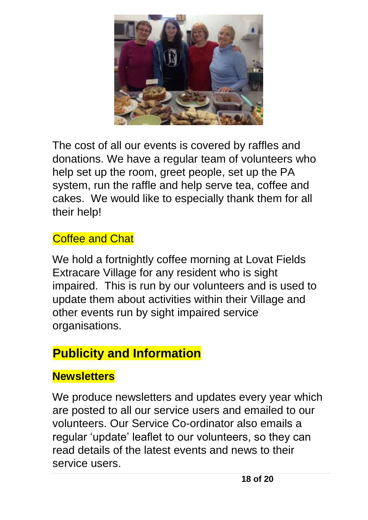

The cost of all our events is covered by raffles and donations. We have a regular team of volunteers who help set up the room, greet people, set up the PA system, run the raffle and help serve tea, coffee and cakes. We would like to especially thank them for all their help!

#### Coffee and Chat

We hold a fortnightly coffee morning at Lovat Fields Extracare Village for any resident who is sight impaired. This is run by our volunteers and is used to update them about activities within their Village and other events run by sight impaired service organisations.

#### **Publicity and Information**

#### **Newsletters**

We produce newsletters and updates every year which are posted to all our service users and emailed to our volunteers. Our Service Co-ordinator also emails a regular 'update' leaflet to our volunteers, so they can read details of the latest events and news to their service users.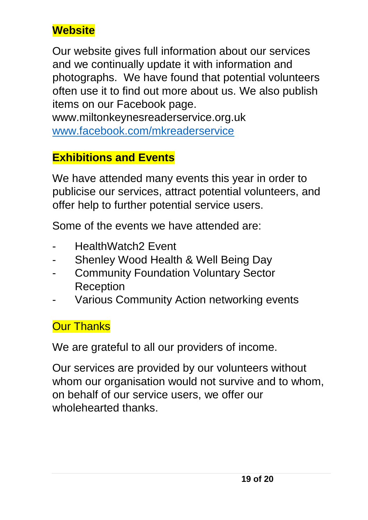#### **Website**

Our website gives full information about our services and we continually update it with information and photographs. We have found that potential volunteers often use it to find out more about us. We also publish items on our Facebook page.

www.miltonkeynesreaderservice.org.uk [www.facebook.com/mkreaderservice](http://www.facebook.com/mkreaderservice)

#### **Exhibitions and Events**

We have attended many events this year in order to publicise our services, attract potential volunteers, and offer help to further potential service users.

Some of the events we have attended are:

- HealthWatch<sub>2</sub> Event
- Shenley Wood Health & Well Being Day
- **Community Foundation Voluntary Sector Reception**
- Various Community Action networking events

#### **Our Thanks**

We are grateful to all our providers of income.

Our services are provided by our volunteers without whom our organisation would not survive and to whom, on behalf of our service users, we offer our wholehearted thanks.